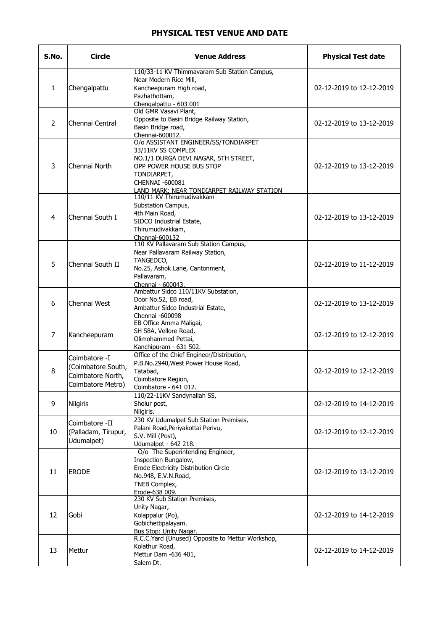## PHYSICAL TEST VENUE AND DATE

| S.No.          | <b>Circle</b>                                                                 | <b>Venue Address</b>                                                                                                                                                                                                  | <b>Physical Test date</b> |
|----------------|-------------------------------------------------------------------------------|-----------------------------------------------------------------------------------------------------------------------------------------------------------------------------------------------------------------------|---------------------------|
| $\mathbf{1}$   | Chengalpattu                                                                  | 110/33-11 KV Thimmavaram Sub Station Campus,<br>Near Modern Rice Mill,<br>Kancheepuram High road,<br>Pazhathottam,<br>Chengalpattu - 603 001                                                                          | 02-12-2019 to 12-12-2019  |
| $\overline{2}$ | Chennai Central                                                               | Old GMR Vasavi Plant,<br>Opposite to Basin Bridge Railway Station,<br>Basin Bridge road,<br>Chennai-600012.                                                                                                           | 02-12-2019 to 13-12-2019  |
| 3              | Chennai North                                                                 | O/o ASSISTANT ENGINEER/SS/TONDIARPET<br>33/11KV SS COMPLEX<br>NO.1/1 DURGA DEVI NAGAR, 5TH STREET,<br>OPP POWER HOUSE BUS STOP<br>TONDIARPET,<br>CHENNAI -600081<br><u>LAND MARK: NEAR TONDIARPET RAILWAY STATION</u> | 02-12-2019 to 13-12-2019  |
| 4              | Chennai South I                                                               | 110/11 KV Thirumudivakkam<br>Substation Campus,<br>4th Main Road,<br>SIDCO Industrial Estate,<br>Thirumudivakkam,<br>Chennai-600132                                                                                   | 02-12-2019 to 13-12-2019  |
| 5              | Chennai South II                                                              | 110 KV Pallavaram Sub Station Campus,<br>Near Pallavaram Railway Station,<br>TANGEDCO,<br>No.25, Ashok Lane, Cantonment,<br>Pallavaram,<br>Chennai - 600043.                                                          | 02-12-2019 to 11-12-2019  |
| 6              | Chennai West                                                                  | Ambattur Sidco 110/11KV Substation,<br>Door No.52, EB road,<br>Ambattur Sidco Industrial Estate,<br>Chennai -600098                                                                                                   | 02-12-2019 to 13-12-2019  |
| $\overline{7}$ | Kancheepuram                                                                  | EB Office Amma Maligai,<br>SH 58A, Vellore Road,<br>Olimohammed Pettai,<br>Kanchipuram - 631 502.                                                                                                                     | 02-12-2019 to 12-12-2019  |
| 8              | Coimbatore -I<br>(Coimbatore South,<br>Coimbatore North,<br>Coimbatore Metro) | Office of the Chief Engineer/Distribution,<br>P.B.No.2940, West Power House Road,<br>Tatabad,<br>Coimbatore Region,<br>Coimbatore - 641 012.                                                                          | 02-12-2019 to 12-12-2019  |
| 9              | <b>Nilgiris</b>                                                               | 110/22-11KV Sandynallah SS,<br>Sholur post,<br>Nilgiris.                                                                                                                                                              | 02-12-2019 to 14-12-2019  |
| 10             | Coimbatore -II<br>(Palladam, Tirupur,<br>Udumalpet)                           | 230 KV Udumalpet Sub Station Premises,<br>Palani Road, Periyakottai Perivu,<br>S.V. Mill (Post),<br>Udumalpet - 642 218.                                                                                              | 02-12-2019 to 12-12-2019  |
| 11             | <b>ERODE</b>                                                                  | O/o The Superintending Engineer,<br>Inspection Bungalow,<br>Erode Electricity Distribution Circle<br>No.948, E.V.N.Road,<br>TNEB Complex,<br>Erode-638 009.                                                           | 02-12-2019 to 13-12-2019  |
| 12             | Gobi                                                                          | 230 KV Sub Station Premises,<br>Unity Nagar,<br>Kolappalur (Po),<br>Gobichettipalayam.<br>Bus Stop: Unity Nagar.                                                                                                      | 02-12-2019 to 14-12-2019  |
| 13             | Mettur                                                                        | R.C.C.Yard (Unused) Opposite to Mettur Workshop,<br>Kolathur Road,<br>Mettur Dam -636 401,<br>Salem Dt.                                                                                                               | 02-12-2019 to 14-12-2019  |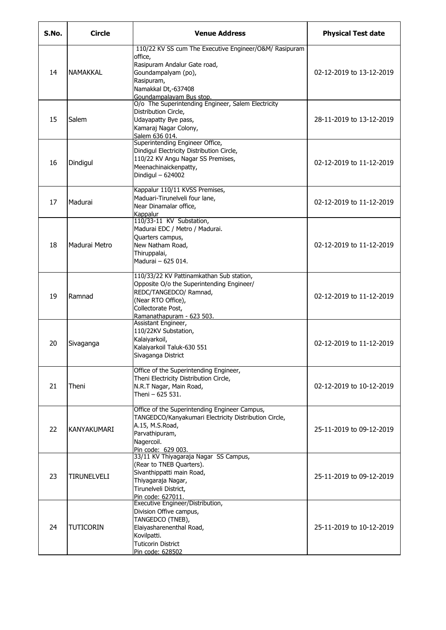| S.No. | <b>Circle</b>    | <b>Venue Address</b>                                                                                                                                                                      | <b>Physical Test date</b> |
|-------|------------------|-------------------------------------------------------------------------------------------------------------------------------------------------------------------------------------------|---------------------------|
| 14    | <b>NAMAKKAL</b>  | 110/22 KV SS cum The Executive Engineer/O&M/ Rasipuram<br>office,<br>Rasipuram Andalur Gate road,<br>Goundampalyam (po),<br>Rasipuram,<br>Namakkal Dt,-637408<br>Goundampalayam Bus stop. | 02-12-2019 to 13-12-2019  |
| 15    | Salem            | O/o The Superintending Engineer, Salem Electricity<br>Distribution Circle,<br>Udayapatty Bye pass,<br>Kamaraj Nagar Colony,<br>Salem 636 014.                                             | 28-11-2019 to 13-12-2019  |
| 16    | Dindigul         | Superintending Engineer Office,<br>Dindigul Electricity Distribution Circle,<br>110/22 KV Angu Nagar SS Premises,<br>Meenachinaickenpatty,<br>Dindigul - 624002                           | 02-12-2019 to 11-12-2019  |
| 17    | Madurai          | Kappalur 110/11 KVSS Premises,<br>Maduari-Tirunelveli four lane,<br>Near Dinamalar office,<br>Kappalur                                                                                    | 02-12-2019 to 11-12-2019  |
| 18    | Madurai Metro    | 110/33-11 KV Substation,<br>Madurai EDC / Metro / Madurai.<br>Quarters campus,<br>New Natham Road,<br>Thiruppalai,<br>Madurai - 625 014.                                                  | 02-12-2019 to 11-12-2019  |
| 19    | Ramnad           | 110/33/22 KV Pattinamkathan Sub station,<br>Opposite O/o the Superintending Engineer/<br>REDC/TANGEDCO/ Ramnad,<br>(Near RTO Office),<br>Collectorate Post,<br>Ramanathapuram - 623 503.  | 02-12-2019 to 11-12-2019  |
| 20    | Sivaganga        | Assistant Engineer,<br>110/22KV Substation,<br>Kalaiyarkoil,<br>Kalaiyarkoil Taluk-630 551<br>Sivaganga District                                                                          | 02-12-2019 to 11-12-2019  |
| 21    | Theni            | Office of the Superintending Engineer,<br>Theni Electricity Distribution Circle,<br>N.R.T Nagar, Main Road,<br>Theni - 625 531.                                                           | 02-12-2019 to 10-12-2019  |
| 22    | KANYAKUMARI      | Office of the Superintending Engineer Campus,<br>TANGEDCO/Kanyakumari Electricity Distribution Circle,<br>A.15, M.S.Road,<br>Parvathipuram,<br>Nagercoil.<br>Pin code: 629 003.           | 25-11-2019 to 09-12-2019  |
| 23    | TIRUNELVELI      | 33/11 KV Thiyagaraja Nagar SS Campus,<br>(Rear to TNEB Quarters).<br>Sivanthippatti main Road,<br>Thiyagaraja Nagar,<br>Tirunelveli District,<br>Pin code: 627011.                        | 25-11-2019 to 09-12-2019  |
| 24    | <b>TUTICORIN</b> | Executive Engineer/Distribution,<br>Division Offive campus,<br>TANGEDCO (TNEB),<br>Elaiyasharenenthal Road,<br>Kovilpatti.<br><b>Tuticorin District</b><br>Pin code: 628502               | 25-11-2019 to 10-12-2019  |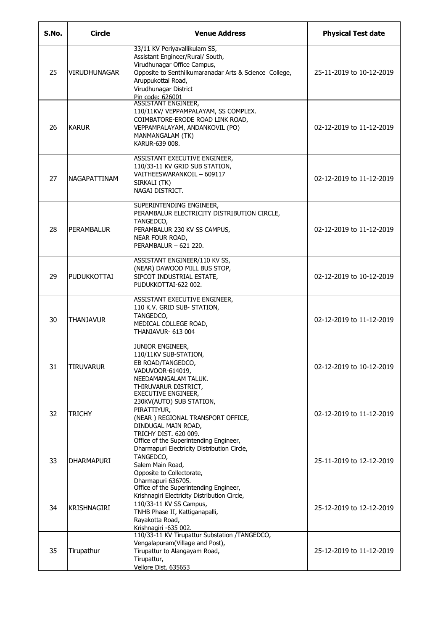| S.No. | <b>Circle</b>    | <b>Venue Address</b>                                                                                                                                                                                                          | <b>Physical Test date</b> |
|-------|------------------|-------------------------------------------------------------------------------------------------------------------------------------------------------------------------------------------------------------------------------|---------------------------|
| 25    | IVIRUDHUNAGAR    | 33/11 KV Periyavallikulam SS,<br>Assistant Engineer/Rural/ South,<br>Virudhunagar Office Campus,<br>Opposite to Senthilkumaranadar Arts & Science College,<br>Aruppukottai Road,<br>Virudhunagar District<br>Pin code: 626001 | 25-11-2019 to 10-12-2019  |
| 26    | <b>KARUR</b>     | <b>ASSISTANT ENGINEER,</b><br>110/11KV/ VEPPAMPALAYAM, SS COMPLEX.<br>COIMBATORE-ERODE ROAD LINK ROAD,<br>VEPPAMPALAYAM, ANDANKOVIL (PO)<br>MANMANGALAM (TK)<br>KARUR-639 008.                                                | 02-12-2019 to 11-12-2019  |
| 27    | NAGAPATTINAM     | ASSISTANT EXECUTIVE ENGINEER,<br>110/33-11 KV GRID SUB STATION,<br>VAITHEESWARANKOIL - 609117<br>SIRKALI (TK)<br>NAGAI DISTRICT.                                                                                              | 02-12-2019 to 11-12-2019  |
| 28    | PERAMBALUR       | SUPERINTENDING ENGINEER,<br>PERAMBALUR ELECTRICITY DISTRIBUTION CIRCLE,<br>TANGEDCO,<br>PERAMBALUR 230 KV SS CAMPUS,<br>NEAR FOUR ROAD,<br>PERAMBALUR - 621 220.                                                              | 02-12-2019 to 11-12-2019  |
| 29    | PUDUKKOTTAI      | ASSISTANT ENGINEER/110 KV SS,<br>(NEAR) DAWOOD MILL BUS STOP,<br>SIPCOT INDUSTRIAL ESTATE,<br>PUDUKKOTTAI-622 002.                                                                                                            | 02-12-2019 to 10-12-2019  |
| 30    | <b>THANJAVUR</b> | ASSISTANT EXECUTIVE ENGINEER,<br>110 K.V. GRID SUB- STATION,<br>TANGEDCO,<br>MEDICAL COLLEGE ROAD,<br>THANJAVUR- 613 004                                                                                                      | 02-12-2019 to 11-12-2019  |
| 31    | <b>TIRUVARUR</b> | JUNIOR ENGINEER,<br>110/11KV SUB-STATION,<br>EB ROAD/TANGEDCO,<br>VADUVOOR-614019,<br>NEEDAMANGALAM TALUK.<br>THIRUVARUR DISTRICT,                                                                                            | 02-12-2019 to 10-12-2019  |
| 32    | <b>TRICHY</b>    | <b>EXECUTIVE ENGINEER,</b><br>230KV(AUTO) SUB STATION,<br>PIRATTIYUR.<br>(NEAR) REGIONAL TRANSPORT OFFICE,<br>DINDUGAL MAIN ROAD,<br>TRICHY DIST. 620 009.                                                                    | 02-12-2019 to 11-12-2019  |
| 33    | IDHARMAPURI      | Office of the Superintending Engineer,<br>Dharmapuri Electricity Distribution Circle,<br>TANGEDCO,<br>Salem Main Road,<br>Opposite to Collectorate,<br>Dharmapuri 636705.                                                     | 25-11-2019 to 12-12-2019  |
| 34    | KRISHNAGIRI      | Office of the Superintending Engineer,<br>Krishnagiri Electricity Distribution Circle,<br>110/33-11 KV SS Campus,<br>TNHB Phase II, Kattiganapalli,<br>Rayakotta Road,<br>Krishnagiri -635 002.                               | 25-12-2019 to 12-12-2019  |
| 35    | Tirupathur       | 110/33-11 KV Tirupattur Substation /TANGEDCO,<br>Vengalapuram(Village and Post),<br>Tirupattur to Alangayam Road,<br>Tirupattur,<br>Vellore Dist. 635653                                                                      | 25-12-2019 to 11-12-2019  |